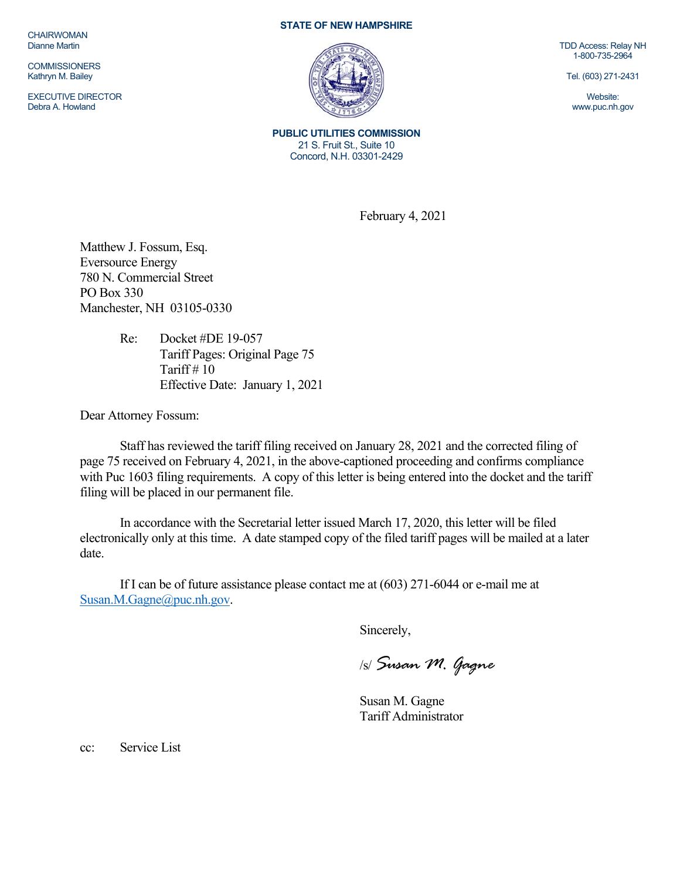**CHAIRWOMAN** Dianne Martin

**COMMISSIONERS** Kathryn M. Bailey

EXECUTIVE DIRECTOR Debra A. Howland

## **STATE OF NEW HAMPSHIRE**



**PUBLIC UTILITIES COMMISSION**  21 S. Fruit St., Suite 10 Concord, N.H. 03301-2429

February 4, 2021

Matthew J. Fossum, Esq. Eversource Energy 780 N. Commercial Street PO Box 330 Manchester, NH 03105-0330

> Re: Docket #DE 19-057 Tariff Pages: Original Page 75 Tariff  $# 10$ Effective Date: January 1, 2021

Dear Attorney Fossum:

Staff has reviewed the tariff filing received on January 28, 2021 and the corrected filing of page 75 received on February 4, 2021, in the above-captioned proceeding and confirms compliance with Puc 1603 filing requirements. A copy of this letter is being entered into the docket and the tariff filing will be placed in our permanent file.

In accordance with the Secretarial letter issued March 17, 2020, this letter will be filed electronically only at this time. A date stamped copy of the filed tariff pages will be mailed at a later date.

If I can be of future assistance please contact me at (603) 271-6044 or e-mail me at Susan.M.Gagne@puc.nh.gov.

Sincerely,

/s/ *Susan M. Gagne*

Susan M. Gagne Tariff Administrator

cc: Service List

TDD Access: Relay NH 1-800-735-2964

Tel. (603) 271-2431

Website: www.puc.nh.gov